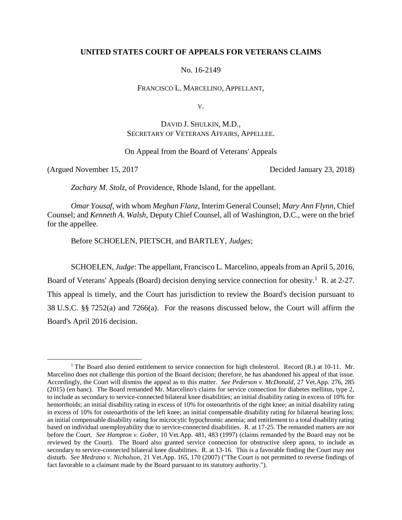### **UNITED STATES COURT OF APPEALS FOR VETERANS CLAIMS**

No. 16-2149

FRANCISCO L. MARCELINO, APPELLANT,

V.

# DAVID J. SHULKIN, M.D., SECRETARY OF VETERANS AFFAIRS, APPELLEE.

On Appeal from the Board of Veterans' Appeals

(Argued November 15, 2017 Decided January 23, 2018)

 $\overline{a}$ 

*Zachary M. Stolz*, of Providence, Rhode Island, for the appellant.

*Omar Yousaf*, with whom *Meghan Flanz*, Interim General Counsel; *Mary Ann Flynn*, Chief Counsel; and *Kenneth A. Walsh*, Deputy Chief Counsel, all of Washington, D.C., were on the brief for the appellee.

Before SCHOELEN, PIETSCH, and BARTLEY, *Judges*;

SCHOELEN, *Judge*: The appellant, Francisco L. Marcelino, appeals from an April 5, 2016, Board of Veterans' Appeals (Board) decision denying service connection for obesity.<sup>1</sup> R. at 2-27. This appeal is timely, and the Court has jurisdiction to review the Board's decision pursuant to 38 U.S.C. §§ 7252(a) and 7266(a). For the reasons discussed below, the Court will affirm the Board's April 2016 decision.

<sup>&</sup>lt;sup>1</sup> The Board also denied entitlement to service connection for high cholesterol. Record (R.) at 10-11. Mr. Marcelino does not challenge this portion of the Board decision; therefore, he has abandoned his appeal of that issue. Accordingly, the Court will dismiss the appeal as to this matter. *See Pederson v. McDonald*, 27 Vet.App. 276, 285 (2015) (en banc). The Board remanded Mr. Marcelino's claims for service connection for diabetes mellitus, type 2, to include as secondary to service-connected bilateral knee disabilities; an initial disability rating in excess of 10% for hemorrhoids; an initial disability rating in excess of 10% for osteoarthritis of the right knee; an initial disability rating in excess of 10% for osteoarthritis of the left knee; an initial compensable disability rating for bilateral hearing loss; an initial compensable disability rating for microcytic hypochromic anemia; and entitlement to a total disability rating based on individual unemployability due to service-connected disabilities. R. at 17-25. The remanded matters are not before the Court. *See Hampton v. Gober*, 10 Vet.App. 481, 483 (1997) (claims remanded by the Board may not be reviewed by the Court). The Board also granted service connection for obstructive sleep apnea, to include as secondary to service-connected bilateral knee disabilities. R. at 13-16. This is a favorable finding the Court may not disturb. *See Medrano v. Nicholson*, 21 Vet.App. 165, 170 (2007) ("The Court is not permitted to reverse findings of fact favorable to a claimant made by the Board pursuant to its statutory authority.").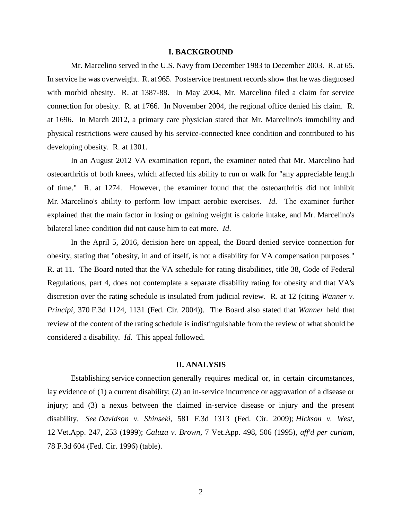#### **I. BACKGROUND**

Mr. Marcelino served in the U.S. Navy from December 1983 to December 2003. R. at 65. In service he was overweight. R. at 965. Postservice treatment records show that he was diagnosed with morbid obesity. R. at 1387-88. In May 2004, Mr. Marcelino filed a claim for service connection for obesity. R. at 1766. In November 2004, the regional office denied his claim. R. at 1696. In March 2012, a primary care physician stated that Mr. Marcelino's immobility and physical restrictions were caused by his service-connected knee condition and contributed to his developing obesity. R. at 1301.

In an August 2012 VA examination report, the examiner noted that Mr. Marcelino had osteoarthritis of both knees, which affected his ability to run or walk for "any appreciable length of time." R. at 1274. However, the examiner found that the osteoarthritis did not inhibit Mr. Marcelino's ability to perform low impact aerobic exercises. *Id*. The examiner further explained that the main factor in losing or gaining weight is calorie intake, and Mr. Marcelino's bilateral knee condition did not cause him to eat more. *Id*.

In the April 5, 2016, decision here on appeal, the Board denied service connection for obesity, stating that "obesity, in and of itself, is not a disability for VA compensation purposes." R. at 11. The Board noted that the VA schedule for rating disabilities, title 38, Code of Federal Regulations, part 4, does not contemplate a separate disability rating for obesity and that VA's discretion over the rating schedule is insulated from judicial review. R. at 12 (citing *Wanner v. Principi*, 370 F.3d 1124, 1131 (Fed. Cir. 2004)). The Board also stated that *Wanner* held that review of the content of the rating schedule is indistinguishable from the review of what should be considered a disability. *Id*. This appeal followed.

## **II. ANALYSIS**

Establishing service connection generally requires medical or, in certain circumstances, lay evidence of (1) a current disability; (2) an in-service incurrence or aggravation of a disease or injury; and (3) a nexus between the claimed in-service disease or injury and the present disability. *See Davidson v. Shinseki*, 581 F.3d 1313 (Fed. Cir. 2009); *Hickson v. West*, 12 Vet.App. 247, 253 (1999); *Caluza v. Brown*, 7 Vet.App. 498, 506 (1995), *aff'd per curiam*, 78 F.3d 604 (Fed. Cir. 1996) (table).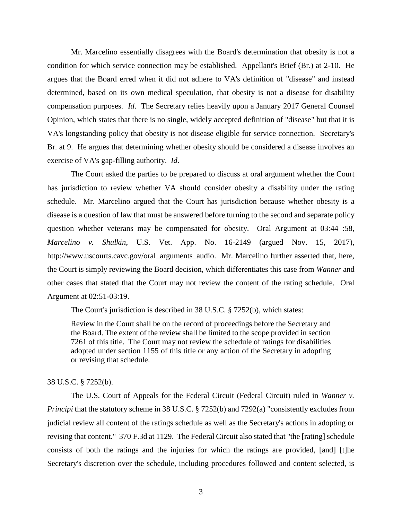Mr. Marcelino essentially disagrees with the Board's determination that obesity is not a condition for which service connection may be established. Appellant's Brief (Br.) at 2-10. He argues that the Board erred when it did not adhere to VA's definition of "disease" and instead determined, based on its own medical speculation, that obesity is not a disease for disability compensation purposes. *Id*. The Secretary relies heavily upon a January 2017 General Counsel Opinion, which states that there is no single, widely accepted definition of "disease" but that it is VA's longstanding policy that obesity is not disease eligible for service connection. Secretary's Br. at 9. He argues that determining whether obesity should be considered a disease involves an exercise of VA's gap-filling authority. *Id*.

The Court asked the parties to be prepared to discuss at oral argument whether the Court has jurisdiction to review whether VA should consider obesity a disability under the rating schedule. Mr. Marcelino argued that the Court has jurisdiction because whether obesity is a disease is a question of law that must be answered before turning to the second and separate policy question whether veterans may be compensated for obesity. Oral Argument at 03:44–:58, *Marcelino v. Shulkin*, U.S. Vet. App. No. 16-2149 (argued Nov. 15, 2017), http://www.uscourts.cavc.gov/oral\_arguments\_audio. Mr. Marcelino further asserted that, here, the Court is simply reviewing the Board decision, which differentiates this case from *Wanner* and other cases that stated that the Court may not review the content of the rating schedule. Oral Argument at 02:51-03:19.

The Court's jurisdiction is described in 38 U.S.C. § 7252(b), which states:

Review in the Court shall be on the record of proceedings before the Secretary and the Board. The extent of the review shall be limited to the scope provided in section 7261 of this title. The Court may not review the schedule of ratings for disabilities adopted under section 1155 of this title or any action of the Secretary in adopting or revising that schedule.

#### 38 U.S.C. § 7252(b).

The U.S. Court of Appeals for the Federal Circuit (Federal Circuit) ruled in *Wanner v. Principi* that the statutory scheme in 38 U.S.C. § 7252(b) and 7292(a) "consistently excludes from judicial review all content of the ratings schedule as well as the Secretary's actions in adopting or revising that content." 370 F.3d at 1129. The Federal Circuit also stated that "the [rating] schedule consists of both the ratings and the injuries for which the ratings are provided, [and] [t]he Secretary's discretion over the schedule, including procedures followed and content selected, is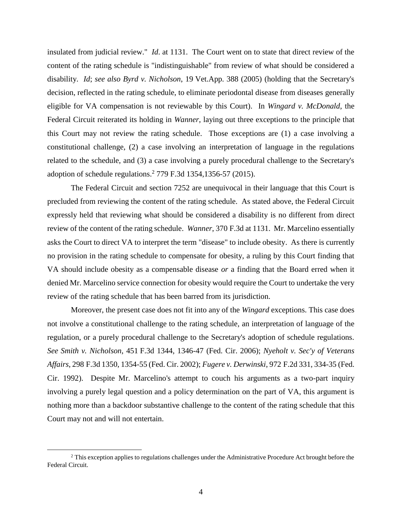insulated from judicial review." *Id*. at 1131. The Court went on to state that direct review of the content of the rating schedule is "indistinguishable" from review of what should be considered a disability. *Id*; *see also Byrd v. Nicholson*, 19 Vet.App. 388 (2005) (holding that the Secretary's decision, reflected in the rating schedule, to eliminate periodontal disease from diseases generally eligible for VA compensation is not reviewable by this Court). In *Wingard v. McDonald*, the Federal Circuit reiterated its holding in *Wanner*, laying out three exceptions to the principle that this Court may not review the rating schedule. Those exceptions are (1) a case involving a constitutional challenge, (2) a case involving an interpretation of language in the regulations related to the schedule, and (3) a case involving a purely procedural challenge to the Secretary's adoption of schedule regulations. 2 779 F.3d 1354,1356-57 (2015).

The Federal Circuit and section 7252 are unequivocal in their language that this Court is precluded from reviewing the content of the rating schedule. As stated above, the Federal Circuit expressly held that reviewing what should be considered a disability is no different from direct review of the content of the rating schedule. *Wanner*, 370 F.3d at 1131. Mr. Marcelino essentially asks the Court to direct VA to interpret the term "disease" to include obesity. As there is currently no provision in the rating schedule to compensate for obesity, a ruling by this Court finding that VA should include obesity as a compensable disease *or* a finding that the Board erred when it denied Mr. Marcelino service connection for obesity would require the Court to undertake the very review of the rating schedule that has been barred from its jurisdiction.

Moreover, the present case does not fit into any of the *Wingard* exceptions. This case does not involve a constitutional challenge to the rating schedule, an interpretation of language of the regulation, or a purely procedural challenge to the Secretary's adoption of schedule regulations. *See Smith v. Nicholson*, 451 F.3d 1344, 1346-47 (Fed. Cir. 2006); *Nyeholt v. Sec'y of Veterans Affairs*, 298 F.3d 1350, 1354-55 (Fed. Cir. 2002); *Fugere v. Derwinski*, 972 F.2d 331, 334-35 (Fed. Cir. 1992). Despite Mr. Marcelino's attempt to couch his arguments as a two-part inquiry involving a purely legal question and a policy determination on the part of VA, this argument is nothing more than a backdoor substantive challenge to the content of the rating schedule that this Court may not and will not entertain.

 $\overline{a}$ 

<sup>&</sup>lt;sup>2</sup> This exception applies to regulations challenges under the Administrative Procedure Act brought before the Federal Circuit.